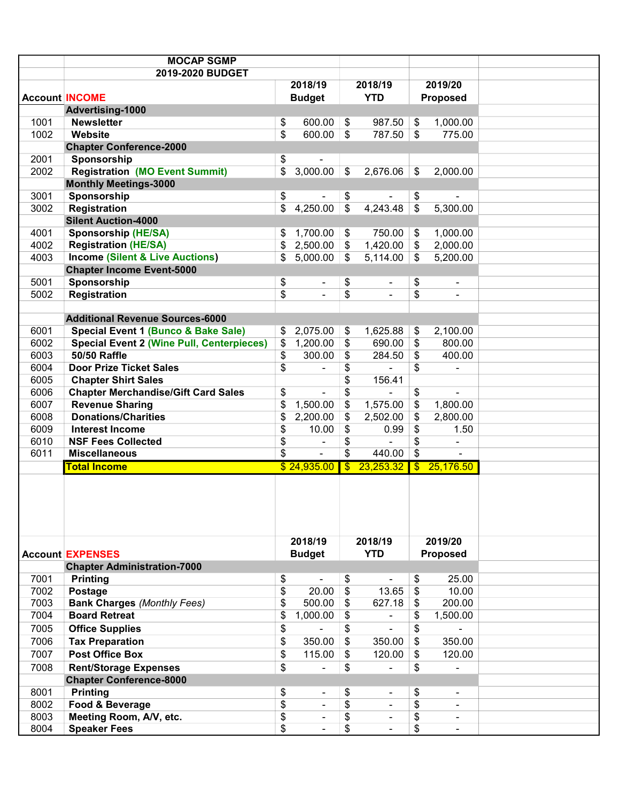|      | <b>MOCAP SGMP</b>                                |                 |                          |                           |                |                           |                              |
|------|--------------------------------------------------|-----------------|--------------------------|---------------------------|----------------|---------------------------|------------------------------|
|      | 2019-2020 BUDGET                                 |                 |                          |                           |                |                           |                              |
|      |                                                  |                 | 2018/19                  |                           | 2018/19        |                           | 2019/20                      |
|      | <b>Account INCOME</b>                            |                 | <b>Budget</b>            |                           | <b>YTD</b>     |                           | Proposed                     |
|      | Advertising-1000                                 |                 |                          |                           |                |                           |                              |
| 1001 | <b>Newsletter</b>                                | \$              | 600.00                   | $\boldsymbol{\mathsf{S}}$ | 987.50         | \$                        | 1,000.00                     |
| 1002 | Website                                          | $\overline{\$}$ | $600.00$ \$              |                           | 787.50         | $\mathfrak{S}$            | 775.00                       |
|      | <b>Chapter Conference-2000</b>                   |                 |                          |                           |                |                           |                              |
| 2001 | Sponsorship                                      | \$              |                          |                           |                |                           |                              |
| 2002 | <b>Registration (MO Event Summit)</b>            | \$              | 3,000.00                 | $\sqrt[6]{3}$             | 2,676.06       | \$                        | 2,000.00                     |
|      | <b>Monthly Meetings-3000</b>                     |                 |                          |                           |                |                           |                              |
| 3001 | Sponsorship                                      | \$              |                          | \$                        |                | \$                        |                              |
| 3002 | <b>Registration</b>                              | \$              | 4,250.00                 | $\sqrt[6]{\frac{1}{2}}$   | 4,243.48       | $\mathfrak{L}$            | 5,300.00                     |
|      | <b>Silent Auction-4000</b>                       |                 |                          |                           |                |                           |                              |
| 4001 | <b>Sponsorship (HE/SA)</b>                       |                 | 1,700.00                 | \$                        | 750.00         | \$                        | 1,000.00                     |
| 4002 | <b>Registration (HE/SA)</b>                      | \$              | 2,500.00                 | \$                        | 1,420.00       | \$                        | 2,000.00                     |
| 4003 | <b>Income (Silent &amp; Live Auctions)</b>       | \$              | 5,000.00                 | \$                        | 5,114.00       | \$                        | 5,200.00                     |
|      | <b>Chapter Income Event-5000</b>                 |                 |                          |                           |                |                           |                              |
| 5001 | Sponsorship                                      | \$              | ۰                        | \$                        | ٠              | \$                        | $\blacksquare$               |
| 5002 | Registration                                     | \$              | ۰                        | \$                        |                | \$                        | $\blacksquare$               |
|      |                                                  |                 |                          |                           |                |                           |                              |
|      | <b>Additional Revenue Sources-6000</b>           |                 |                          |                           |                |                           |                              |
| 6001 | Special Event 1 (Bunco & Bake Sale)              | \$              | 2,075.00                 | \$                        | 1,625.88       | \$                        | 2,100.00                     |
| 6002 | <b>Special Event 2 (Wine Pull, Centerpieces)</b> | \$              | 1,200.00                 | \$                        | 690.00         | \$                        | 800.00                       |
| 6003 | <b>50/50 Raffle</b>                              | \$              | 300.00                   | \$                        | 284.50         | \$                        | 400.00                       |
| 6004 | <b>Door Prize Ticket Sales</b>                   | \$              | ÷.                       | \$                        |                | \$                        | ä,                           |
| 6005 | <b>Chapter Shirt Sales</b>                       |                 |                          | \$                        | 156.41         |                           |                              |
| 6006 | <b>Chapter Merchandise/Gift Card Sales</b>       | \$              | ÷.                       | \$                        |                | \$                        | ä,                           |
| 6007 | <b>Revenue Sharing</b>                           | \$              | 1,500.00                 | \$                        | 1,575.00       | \$                        | 1,800.00                     |
| 6008 | <b>Donations/Charities</b>                       | \$              | 2,200.00                 | \$                        | 2,502.00       | \$                        | 2,800.00                     |
| 6009 | <b>Interest Income</b>                           | \$              | 10.00                    | \$                        | 0.99           | \$                        | 1.50                         |
| 6010 | <b>NSF Fees Collected</b>                        | \$              |                          | \$                        |                | \$                        | L,                           |
| 6011 | <b>Miscellaneous</b>                             | \$              | ä,                       | \$                        | 440.00         | $\boldsymbol{\mathsf{S}}$ | $\blacksquare$               |
|      | <b>Total Income</b>                              |                 | \$24,935.00              | $\overline{\mathbb{S}}$   | 23,253.32      | $\overline{\mathbf{S}}$   | 25,176.50                    |
|      |                                                  |                 |                          |                           |                |                           |                              |
|      |                                                  |                 | 2018/19                  |                           | 2018/19        |                           | 2019/20                      |
|      | <b>Account EXPENSES</b>                          |                 | <b>Budget</b>            |                           | <b>YTD</b>     |                           | Proposed                     |
|      | <b>Chapter Administration-7000</b>               |                 |                          |                           |                |                           |                              |
| 7001 | <b>Printing</b>                                  | \$              |                          | \$                        |                | \$                        | 25.00                        |
| 7002 | Postage                                          | \$              | 20.00                    | \$                        | 13.65          | $\$\$                     | 10.00                        |
| 7003 | <b>Bank Charges (Monthly Fees)</b>               | \$              | 500.00                   | \$                        | 627.18         | \$                        | 200.00                       |
| 7004 | <b>Board Retreat</b>                             | \$              | 1,000.00                 | \$                        |                | \$                        | 1,500.00                     |
| 7005 | <b>Office Supplies</b>                           | \$              |                          | \$                        | $\blacksquare$ | \$                        |                              |
| 7006 | <b>Tax Preparation</b>                           | \$              | 350.00                   | \$                        | 350.00         | $\mathfrak{S}$            | 350.00                       |
| 7007 | <b>Post Office Box</b>                           | \$              | 115.00                   | \$                        | 120.00         | \$                        | 120.00                       |
| 7008 | <b>Rent/Storage Expenses</b>                     | \$              | ÷,                       | \$                        |                | \$                        |                              |
|      | <b>Chapter Conference-8000</b>                   |                 |                          |                           |                |                           | $\qquad \qquad \blacksquare$ |
| 8001 | <b>Printing</b>                                  | \$              |                          | \$                        |                | \$                        |                              |
| 8002 | Food & Beverage                                  | $\overline{\$}$ | ۰<br>٠                   | \$                        | $\blacksquare$ | \$                        | ٠<br>$\blacksquare$          |
| 8003 | Meeting Room, A/V, etc.                          | \$              | $\overline{\phantom{0}}$ | \$                        | $\blacksquare$ | \$                        |                              |
| 8004 | <b>Speaker Fees</b>                              | $\overline{\$}$ |                          | \$                        |                | \$                        | ۰                            |
|      |                                                  |                 |                          |                           |                |                           | ۰                            |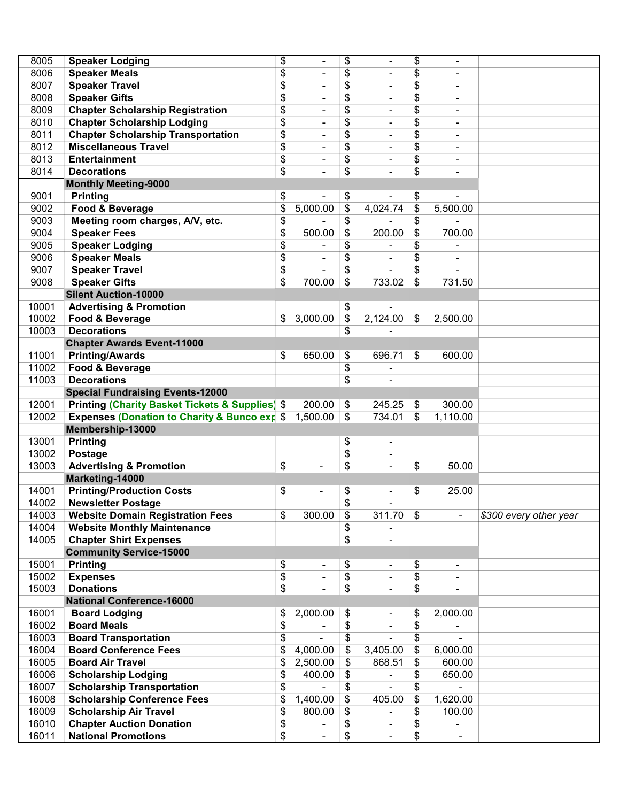| 8005  | <b>Speaker Lodging</b>                                                          | \$<br>$\blacksquare$               | \$              | $\blacksquare$               | \$<br>$\blacksquare$           |                        |
|-------|---------------------------------------------------------------------------------|------------------------------------|-----------------|------------------------------|--------------------------------|------------------------|
| 8006  | <b>Speaker Meals</b>                                                            | \$                                 |                 |                              | \$                             |                        |
| 8007  | <b>Speaker Travel</b>                                                           | \$                                 | \$              |                              | \$<br>$\blacksquare$           |                        |
| 8008  | <b>Speaker Gifts</b>                                                            | \$<br>$\blacksquare$               | \$              |                              | $\blacksquare$                 |                        |
|       |                                                                                 | ÷                                  | \$              |                              | \$<br>۰                        |                        |
| 8009  | <b>Chapter Scholarship Registration</b>                                         | \$<br>٠                            | \$              |                              | \$<br>$\overline{\phantom{a}}$ |                        |
| 8010  | <b>Chapter Scholarship Lodging</b><br><b>Chapter Scholarship Transportation</b> | \$<br>٠                            | \$              |                              | \$<br>۰                        |                        |
| 8011  |                                                                                 | \$<br>$\qquad \qquad \blacksquare$ | \$              |                              | \$<br>۰                        |                        |
| 8012  | <b>Miscellaneous Travel</b>                                                     | \$<br>٠                            | \$              | $\overline{\phantom{a}}$     | \$<br>۰                        |                        |
| 8013  | <b>Entertainment</b>                                                            | \$<br>$\overline{\phantom{0}}$     | \$              | $\qquad \qquad \blacksquare$ | \$<br>$\overline{\phantom{a}}$ |                        |
| 8014  | <b>Decorations</b>                                                              | \$                                 | \$              |                              | \$<br>$\overline{\phantom{a}}$ |                        |
|       | <b>Monthly Meeting-9000</b>                                                     |                                    |                 |                              |                                |                        |
| 9001  | <b>Printing</b>                                                                 | \$<br>$\qquad \qquad \blacksquare$ | \$              |                              | \$<br>÷,                       |                        |
| 9002  | Food & Beverage                                                                 | \$<br>5,000.00                     | \$              | 4,024.74                     | \$<br>5,500.00                 |                        |
| 9003  | Meeting room charges, A/V, etc.                                                 | \$                                 | \$              |                              | \$                             |                        |
| 9004  | <b>Speaker Fees</b>                                                             | \$<br>500.00                       | \$              | 200.00                       | \$<br>700.00                   |                        |
| 9005  | <b>Speaker Lodging</b>                                                          | \$<br>$\frac{1}{2}$                | \$              |                              | \$<br>$\blacksquare$           |                        |
| 9006  | <b>Speaker Meals</b>                                                            | \$<br>$\frac{1}{2}$                | \$              | $\overline{\phantom{a}}$     | \$<br>$\overline{\phantom{a}}$ |                        |
| 9007  | <b>Speaker Travel</b>                                                           | \$<br>$\overline{\phantom{a}}$     | \$              | $\blacksquare$               | \$                             |                        |
| 9008  | <b>Speaker Gifts</b>                                                            | \$<br>700.00                       | \$              | 733.02                       | \$<br>731.50                   |                        |
|       | <b>Silent Auction-10000</b>                                                     |                                    |                 |                              |                                |                        |
| 10001 | <b>Advertising &amp; Promotion</b>                                              |                                    | \$              |                              |                                |                        |
| 10002 | Food & Beverage                                                                 | \$<br>3,000.00                     | \$              | 2,124.00                     | \$<br>2,500.00                 |                        |
| 10003 | <b>Decorations</b>                                                              |                                    | \$              |                              |                                |                        |
|       | <b>Chapter Awards Event-11000</b>                                               |                                    |                 |                              |                                |                        |
| 11001 | <b>Printing/Awards</b>                                                          | \$<br>650.00                       | \$              | 696.71                       | \$<br>600.00                   |                        |
| 11002 | Food & Beverage                                                                 |                                    | \$              |                              |                                |                        |
| 11003 | <b>Decorations</b>                                                              |                                    | \$              |                              |                                |                        |
|       | <b>Special Fundraising Events-12000</b>                                         |                                    |                 |                              |                                |                        |
| 12001 | <b>Printing (Charity Basket Tickets &amp; Supplies) \$</b>                      | 200.00                             | \$              | 245.25                       | \$<br>300.00                   |                        |
| 12002 | <b>Expenses (Donation to Charity &amp; Bunco exp \$</b>                         | 1,500.00                           | \$              | 734.01                       | \$<br>1,110.00                 |                        |
|       | Membership-13000                                                                |                                    |                 |                              |                                |                        |
| 13001 | <b>Printing</b>                                                                 |                                    | \$              |                              |                                |                        |
| 13002 | Postage                                                                         |                                    | \$              | $\qquad \qquad \blacksquare$ |                                |                        |
| 13003 | <b>Advertising &amp; Promotion</b>                                              | \$<br>÷                            | \$              | $\frac{1}{2}$                | \$<br>50.00                    |                        |
|       | Marketing-14000                                                                 |                                    |                 |                              |                                |                        |
| 14001 | <b>Printing/Production Costs</b>                                                | \$<br>$\overline{a}$               | \$              |                              | \$<br>25.00                    |                        |
| 14002 | <b>Newsletter Postage</b>                                                       |                                    | \$              |                              |                                |                        |
| 14003 | <b>Website Domain Registration Fees</b>                                         | \$<br>300.00                       | \$              | 311.70                       | \$                             | \$300 every other year |
| 14004 | <b>Website Monthly Maintenance</b>                                              |                                    | \$              |                              |                                |                        |
| 14005 | <b>Chapter Shirt Expenses</b>                                                   |                                    | \$              |                              |                                |                        |
|       | <b>Community Service-15000</b>                                                  |                                    |                 |                              |                                |                        |
| 15001 | <b>Printing</b>                                                                 | \$<br>۰                            | \$              | ۰                            | \$<br>٠                        |                        |
| 15002 | <b>Expenses</b>                                                                 | \$<br>$\overline{\phantom{a}}$     | \$              |                              | \$<br>۰                        |                        |
| 15003 | <b>Donations</b>                                                                | \$                                 | $\overline{\$}$ |                              | \$<br>$\overline{\phantom{a}}$ |                        |
|       | <b>National Conference-16000</b>                                                |                                    |                 |                              |                                |                        |
| 16001 | <b>Board Lodging</b>                                                            | \$<br>2,000.00                     | \$              |                              | \$<br>2,000.00                 |                        |
| 16002 | <b>Board Meals</b>                                                              | \$                                 | \$              |                              | \$                             |                        |
| 16003 | <b>Board Transportation</b>                                                     | \$<br>٠                            | \$              |                              | \$                             |                        |
| 16004 | <b>Board Conference Fees</b>                                                    | \$<br>4,000.00                     | \$              | 3,405.00                     | \$<br>6,000.00                 |                        |
| 16005 | <b>Board Air Travel</b>                                                         | \$<br>2,500.00                     | \$              | 868.51                       | \$<br>600.00                   |                        |
| 16006 | <b>Scholarship Lodging</b>                                                      | \$<br>400.00                       | \$              |                              | \$<br>650.00                   |                        |
| 16007 | <b>Scholarship Transportation</b>                                               | \$                                 | \$              |                              | \$                             |                        |
| 16008 | <b>Scholarship Conference Fees</b>                                              | \$<br>1,400.00                     | \$              | 405.00                       | \$<br>1,620.00                 |                        |
| 16009 | <b>Scholarship Air Travel</b>                                                   | \$<br>800.00                       | \$              |                              | \$<br>100.00                   |                        |
| 16010 | <b>Chapter Auction Donation</b>                                                 | \$<br>۰                            | \$              | ۰                            | \$<br>$\overline{\phantom{a}}$ |                        |
| 16011 | <b>National Promotions</b>                                                      | \$                                 | \$              | $\frac{1}{2}$                | \$<br>$\blacksquare$           |                        |
|       |                                                                                 |                                    |                 |                              |                                |                        |